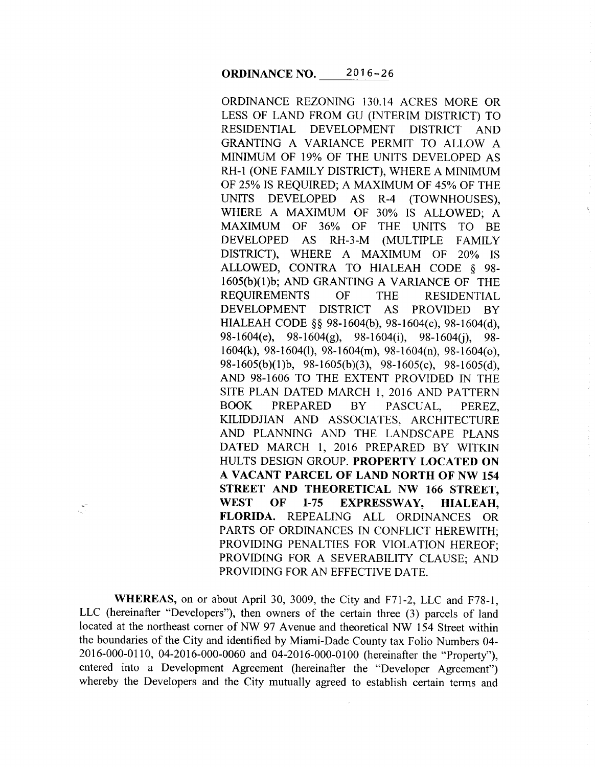ORDINANCE REZONING 130.14 ACRES MORE OR LESS OF LAND FROM GU (INTERIM DISTRICT) TO RESIDENTIAL DEVELOPMENT DISTRICT AND GRANTING A VARIANCE PERMIT TO ALLOW A MINIMUM OF 19% OF THE UNITS DEVELOPED AS RH-1 (ONE FAMILY DISTRICT), WHERE A MINIMUM OF 25% IS REQUIRED; A MAXIMUM OF 45% OF THE UNITS DEVELOPED AS R-4 (TOWNHOUSES), WHERE A MAXIMUM OF 30% IS ALLOWED; A MAXIMUM OF 36% OF THE UNITS TO BE DEVELOPED AS RH-3-M (MULTIPLE FAMILY DISTRICT), WHERE A MAXIMUM OF 20% IS ALLOWED, CONTRA TO HIALEAH CODE § 98- 1605(b)(l)b; AND GRANTING A VARIANCE OF THE REQUIREMENTS OF THE RESIDENTIAL DEVELOPMENT DISTRICT AS PROVIDED BY HIALEAH CODE §§ 98-1604(b), 98-1604(c), 98-1604(d), 98-1604(e), 98-1604(g), 98-1604(j), 98-1604(j), 98-1604(k), 98-1604(1), 98-1604(m), 98-1604(n), 98-1604(o), 98-1605(b)(1)b, 98-1605(b)(3), 98-1605(c), 98-1605(d), AND 98-1606 TO THE EXTENT PROVIDED IN THE SITE PLAN DATED MARCH 1, 2016 AND PATTERN BOOK PREPARED BY PASCUAL, PEREZ, KILIDDJIAN AND ASSOCIATES, ARCHITECTURE AND PLANNING AND THE LANDSCAPE PLANS DATED MARCH **1,** 2016 PREPARED BY WITKIN HULTS DESIGN GROUP. **PROPERTY LOCATED ON A VACANT PARCEL OF LAND NORTH OF NW 154 STREET AND THEORETICAL NW 166 STREET, WEST OF 1-75 EXPRESSWAY, HIALEAH, FLORIDA.** REPEALING ALL ORDINANCES OR PARTS OF ORDINANCES IN CONFLICT HEREWITH; PROVIDING PENALTIES FOR VIOLATION HEREOF; PROVIDING FOR A SEVERABILITY CLAUSE; AND PROVIDING FOR AN EFFECTIVE DATE.

**WHEREAS,** on or about April 30, 3009, the City and F71-2, LLC and F78-1, LLC (hereinafter "Developers"), then owners of the certain three (3) parcels of land located at the northeast corner of NW 97 Avenue and theoretical NW 154 Street within the boundaries of the City and identified by Miami-Dade County tax Folio Numbers 04- 2016-000-0110, 04-2016-000-0060 and 04-2016-000-0100 (hereinafter the "Property"), entered into a Development Agreement (hereinafter the "Developer Agreement") whereby the Developers and the City mutually agreed to establish certain terms and

 $\frac{1}{2}$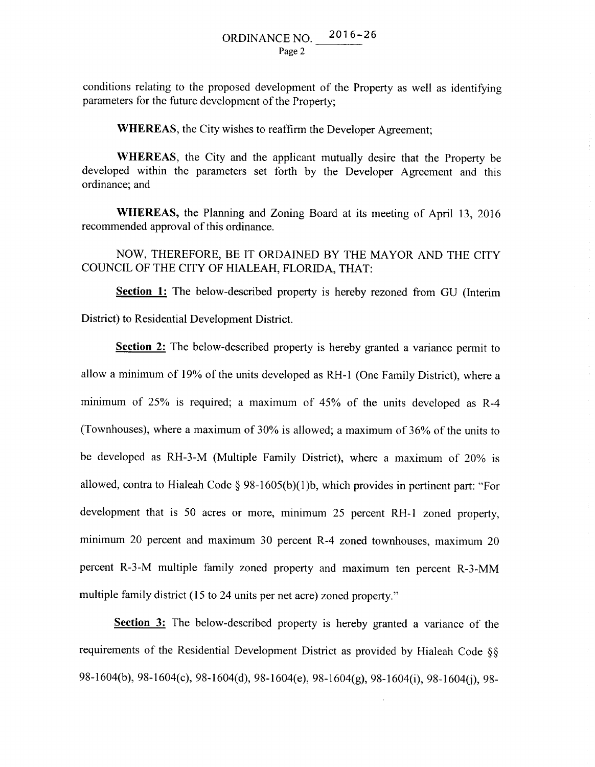conditions relating to the proposed development of the Property as well as identifying parameters for the future development of the Property;

**WHEREAS,** the City wishes to reaffirm the Developer Agreement;

**WHEREAS,** the City and the applicant mutually desire that the Property be developed within the parameters set forth by the Developer Agreement and this ordinance; and

**WHEREAS,** the Planning and Zoning Board at its meeting of April 13, 2016 recommended approval of this ordinance.

### NOW, THEREFORE, BE IT ORDAINED BY THE MAYOR AND THE CITY COUNCIL OF THE CITY OF HIALEAH, FLORIDA, THAT:

**Section 1:** The below-described property is hereby rezoned from GU (Interim District) to Residential Development District.

**Section 2:** The below-described property is hereby granted a variance permit to allow a minimum of 19% of the units developed as RH-1 (One Family District), where a minimum of 25% is required; a maximum of 45% of the units developed as R-4 (Townhouses), where a maximum of 30% is allowed; a maximum of 36% of the units to be developed as RH-3-M (Multiple Family District), where a maximum of 20% is allowed, contra to Hialeah Code  $\S$  98-1605(b)(1)b, which provides in pertinent part: "For development that is 50 acres or more, minimum 25 percent RH-1 zoned property, minimum 20 percent and maximum 30 percent R-4 zoned townhouses, maximum 20 percent R-3-M multiple family zoned property and maximum ten percent R-3-MM multiple family district (15 to 24 units per net acre) zoned property."

**Section 3:** The below-described property is hereby granted a variance of the requirements of the Residential Development District as provided by Hialeah Code §§ 98-1604(b), 98-1604(c), 98-1604(d), 98-1604(e), 98-1604(g), 98-1604(i), 98-1604(j), 98-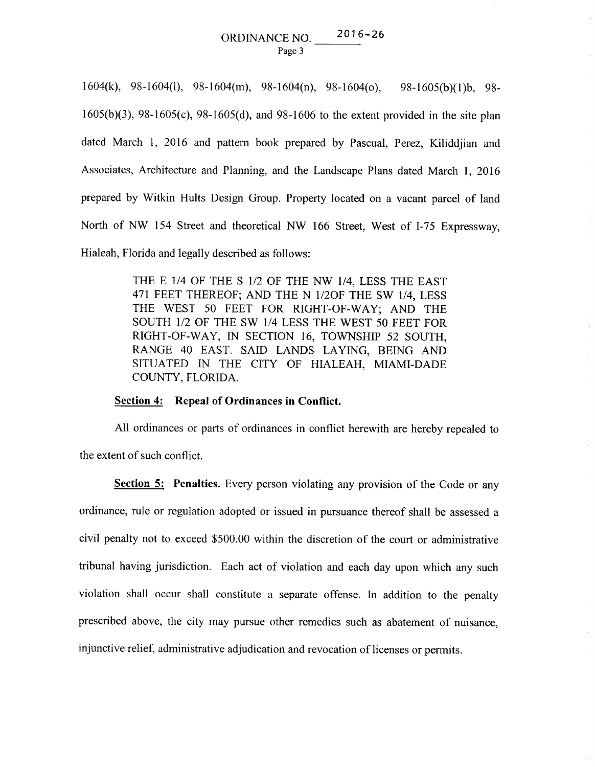## ORDINANCE NO. 2016-26 Page 3

1604(k), 98-1604(1), 98-1604(m), 98-1604(n), 98-1604( o ), 98-1605(b )( **1** )b, 98- 1605(b )(3 ), 98-1605( c), 98-1605( d), and 98-1606 to the extent provided in the site plan dated March 1, 2016 and pattern book prepared by Pascual, Perez, Kiliddjian and Associates, Architecture and Planning, and the Landscape Plans dated March 1, 2016 prepared by Witkin Hults Design Group. Property located on a vacant parcel of land North of NW 154 Street and theoretical NW 166 Street, West of I-75 Expressway, Hialeah, Florida and legally described as follows:

> THE E 114 OF THE S 1/2 OF THE NW 1/4, LESS THE EAST 471 FEET THEREOF; AND THE N 1/2OF THE SW 1/4, LESS THE WEST 50 FEET FOR RIGHT-OF-WAY; AND THE SOUTH 1/2 OF THE SW 1/4 LESS THE WEST 50 FEET FOR RIGHT-OF-WAY, IN SECTION 16, TOWNSHIP 52 SOUTH, RANGE 40 EAST. SAID LANDS LAYING, BEING AND SITUATED IN THE CITY OF HIALEAH, MIAMI-DADE COUNTY, FLORIDA.

#### **Section 4: Repeal of Ordinances in Conflict.**

All ordinances or parts of ordinances in conflict herewith are hereby repealed to the extent of such conflict.

**Section 5: Penalties.** Every person violating any provision of the Code or any ordinance, rule or regulation adopted or issued in pursuance thereof shall be assessed a civil penalty not to exceed \$500.00 within the discretion of the court or administrative tribunal having jurisdiction. Each act of violation and each day upon which any such violation shall occur shall constitute a separate offense. In addition to the penalty prescribed above, the city may pursue other remedies such as abatement of nuisance, injunctive relief, administrative adjudication and revocation of licenses or permits.